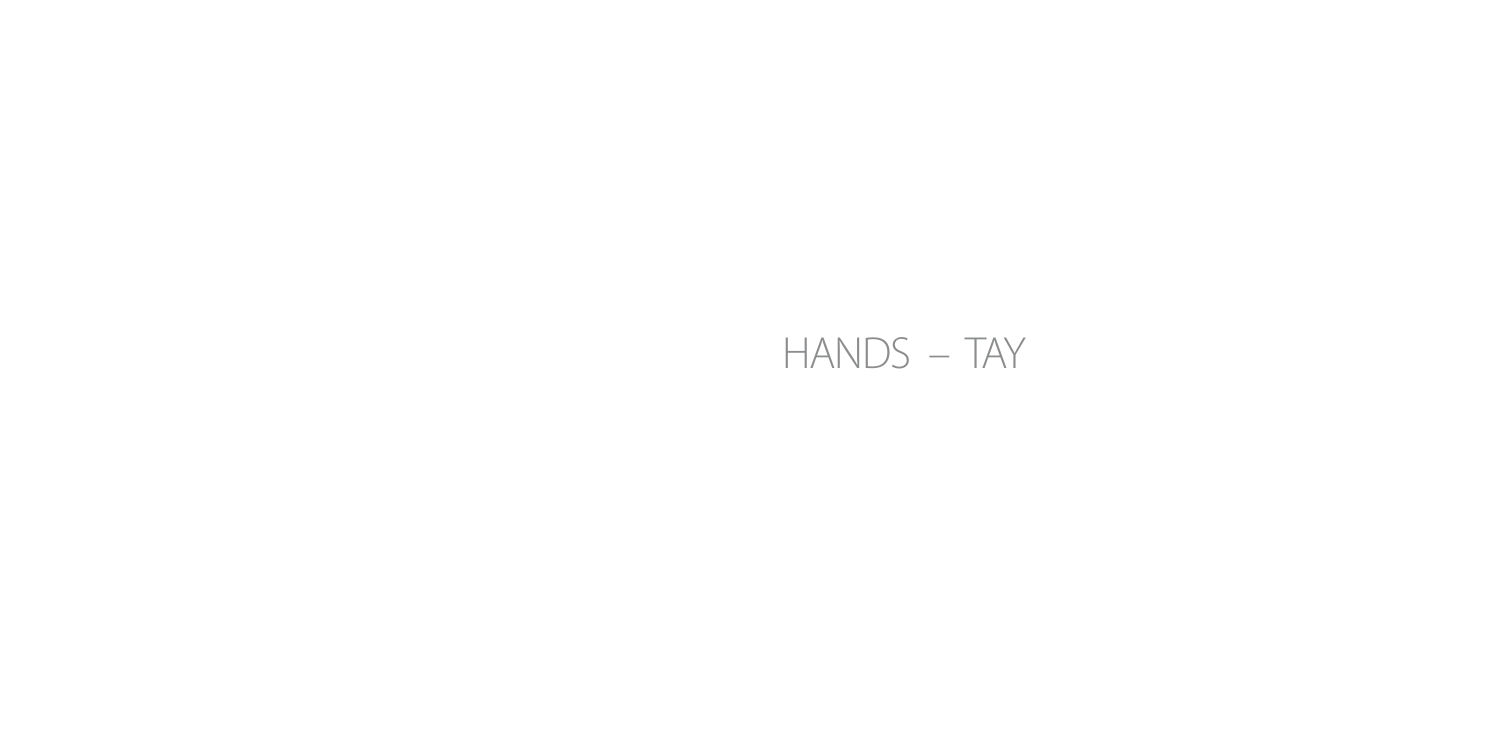# HANDS – TAY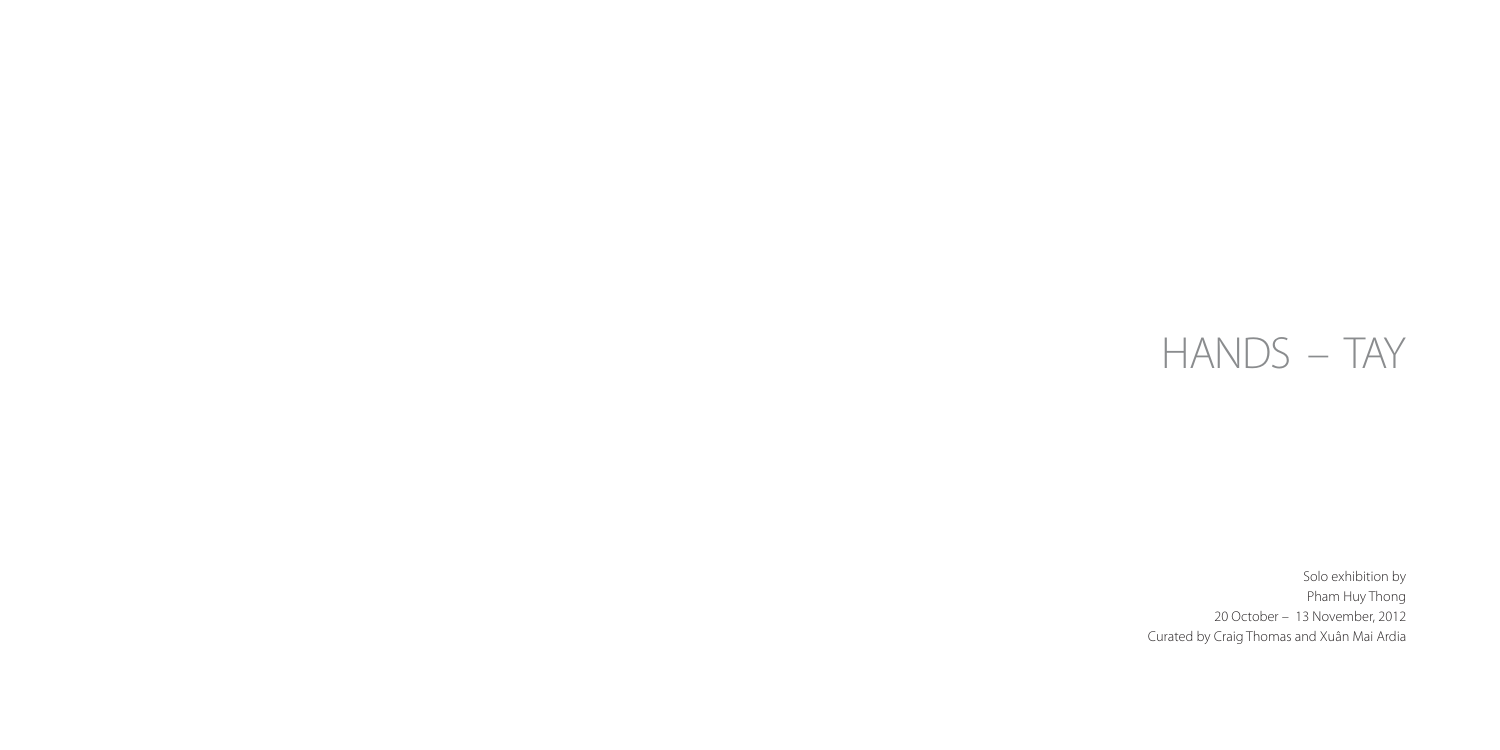# HANDS – TAY

Solo exhibition by Pham Huy Thong 20 October – 13 November, 2012 Curated by Craig Thomas and Xuân Mai Ardia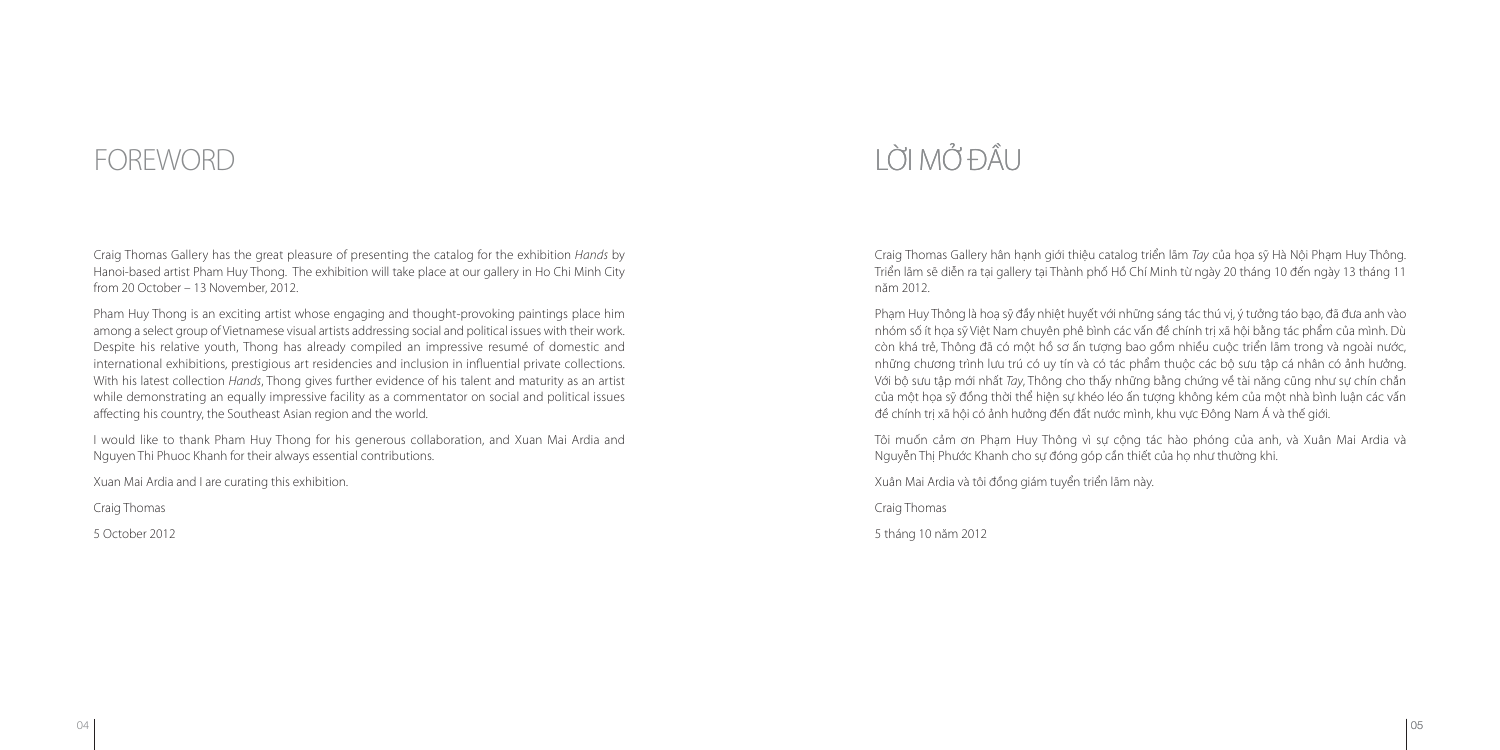## LỜI MỞ ĐẦU

#### **FOREWORD**

Craig Thomas Gallery has the great pleasure of presenting the catalog for the exhibition Hands by Hanoi-based artist Pham Huy Thong. The exhibition will take place at our gallery in Ho Chi Minh City from 20 October – 13 November, 2012.

Pham Huy Thong is an exciting artist whose engaging and thought-provoking paintings place him among a select group of Vietnamese visual artists addressing social and political issues with their work. Despite his relative youth, Thong has already compiled an impressive resumé of domestic and international exhibitions, prestigious art residencies and inclusion in influential private collections. With his latest collection Hands, Thong gives further evidence of his talent and maturity as an artist while demonstrating an equally impressive facility as a commentator on social and political issues affecting his country, the Southeast Asian region and the world.

I would like to thank Pham Huy Thong for his generous collaboration, and Xuan Mai Ardia and Nguyen Thi Phuoc Khanh for their always essential contributions.

Xuan Mai Ardia and I are curating this exhibition.

Craig Thomas

5 October 2012

Craig Thomas Gallery hân hạnh giới thiệu catalog triển lãm Tay của họa sỹ Hà Nội Phạm Huy Thông. Triển lãm sẽ diễn ra tại gallery tại Thành phố Hồ Chí Minh từ ngày 20 tháng 10 đến ngày 13 tháng 11 năm 2012.

Phạm Huy Thông là hoạ sỹ đầy nhiệt huyết với những sáng tác thú vị, ý tưởng táo bạo, đã đưa anh vào nhóm số ít họa sỹ Việt Nam chuyên phê bình các vấn đề chính trị xã hội bằng tác phẩm của mình. Dù còn khá trẻ, Thông đã có một hồ sơ ấn tượng bao gồm nhiều cuộc triển lãm trong và ngoài nước, những chương trình lưu trú có uy tín và có tác phẩm thuộc các bộ sưu tập cá nhân có ảnh hưởng. Với bộ sưu tập mới nhất Tay, Thông cho thấy những bằng chứng về tài năng cũng như sự chín chắn của một họa sỹ đồng thời thể hiện sự khéo léo ấn tượng không kém của một nhà bình luận các vấn đề chính trị xã hội có ảnh hưởng đến đất nước mình, khu vực Đông Nam Á và thế giới.

Tôi muốn cảm ơn Phạm Huy Thông vì sự cộng tác hào phóng của anh, và Xuân Mai Ardia và Nguyễn Thị Phước Khanh cho sự đóng góp cần thiết của họ như thường khi.

Xuân Mai Ardia và tôi đồng giám tuyển triển lãm này.

Craig Thomas

5 tháng 10 năm 2012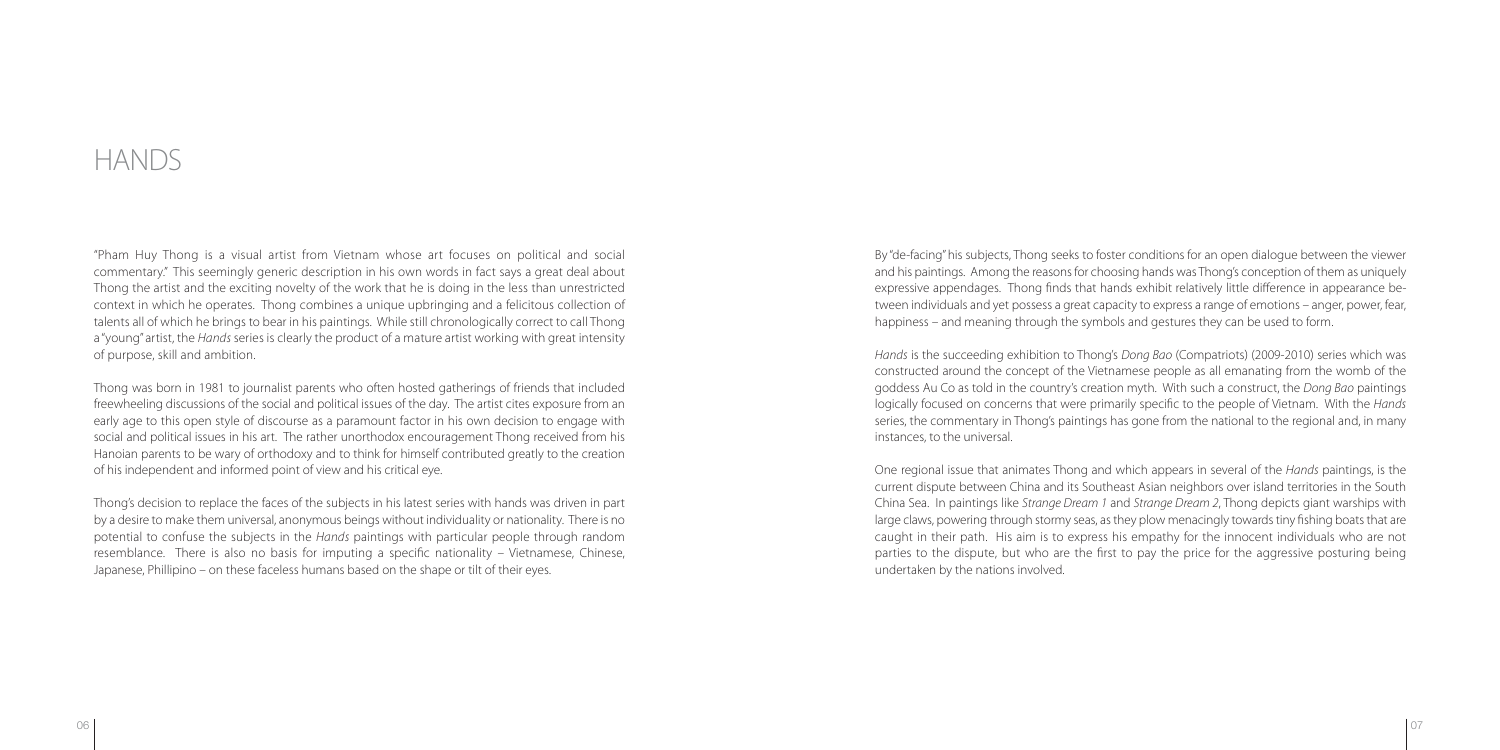By "de-facing" his subjects, Thong seeks to foster conditions for an open dialogue between the viewer and his paintings. Among the reasons for choosing hands was Thong's conception of them as uniquely expressive appendages. Thong finds that hands exhibit relatively little difference in appearance between individuals and yet possess a great capacity to express a range of emotions – anger, power, fear, happiness – and meaning through the symbols and gestures they can be used to form.

 Hands is the succeeding exhibition to Thong's Dong Bao (Compatriots) (2009-2010) series which was constructed around the concept of the Vietnamese people as all emanating from the womb of the goddess Au Co as told in the country's creation myth. With such a construct, the Dong Bao paintings logically focused on concerns that were primarily specific to the people of Vietnam. With the Hands series, the commentary in Thong's paintings has gone from the national to the regional and, in many instances, to the universal.

One regional issue that animates Thong and which appears in several of the Hands paintings, is the current dispute between China and its Southeast Asian neighbors over island territories in the South China Sea. In paintings like Strange Dream 1 and Strange Dream 2, Thong depicts giant warships with large claws, powering through stormy seas, as they plow menacingly towards tiny fishing boats that are caught in their path. His aim is to express his empathy for the innocent individuals who are not parties to the dispute, but who are the first to pay the price for the aggressive posturing being undertaken by the nations involved.

"Pham Huy Thong is a visual artist from Vietnam whose art focuses on political and social commentary." This seemingly generic description in his own words in fact says a great deal about Thong the artist and the exciting novelty of the work that he is doing in the less than unrestricted context in which he operates. Thong combines a unique upbringing and a felicitous collection of talents all of which he brings to bear in his paintings. While still chronologically correct to call Thong a "young" artist, the Hands series is clearly the product of a mature artist working with great intensity of purpose, skill and ambition.

Thong was born in 1981 to journalist parents who often hosted gatherings of friends that included freewheeling discussions of the social and political issues of the day. The artist cites exposure from an early age to this open style of discourse as a paramount factor in his own decision to engage with social and political issues in his art. The rather unorthodox encouragement Thong received from his Hanoian parents to be wary of orthodoxy and to think for himself contributed greatly to the creation of his independent and informed point of view and his critical eye.

Thong's decision to replace the faces of the subjects in his latest series with hands was driven in part by a desire to make them universal, anonymous beings without individuality or nationality. There is no potential to confuse the subjects in the Hands paintings with particular people through random resemblance. There is also no basis for imputing a specific nationality – Vietnamese, Chinese, Japanese, Phillipino – on these faceless humans based on the shape or tilt of their eyes.

#### HANDS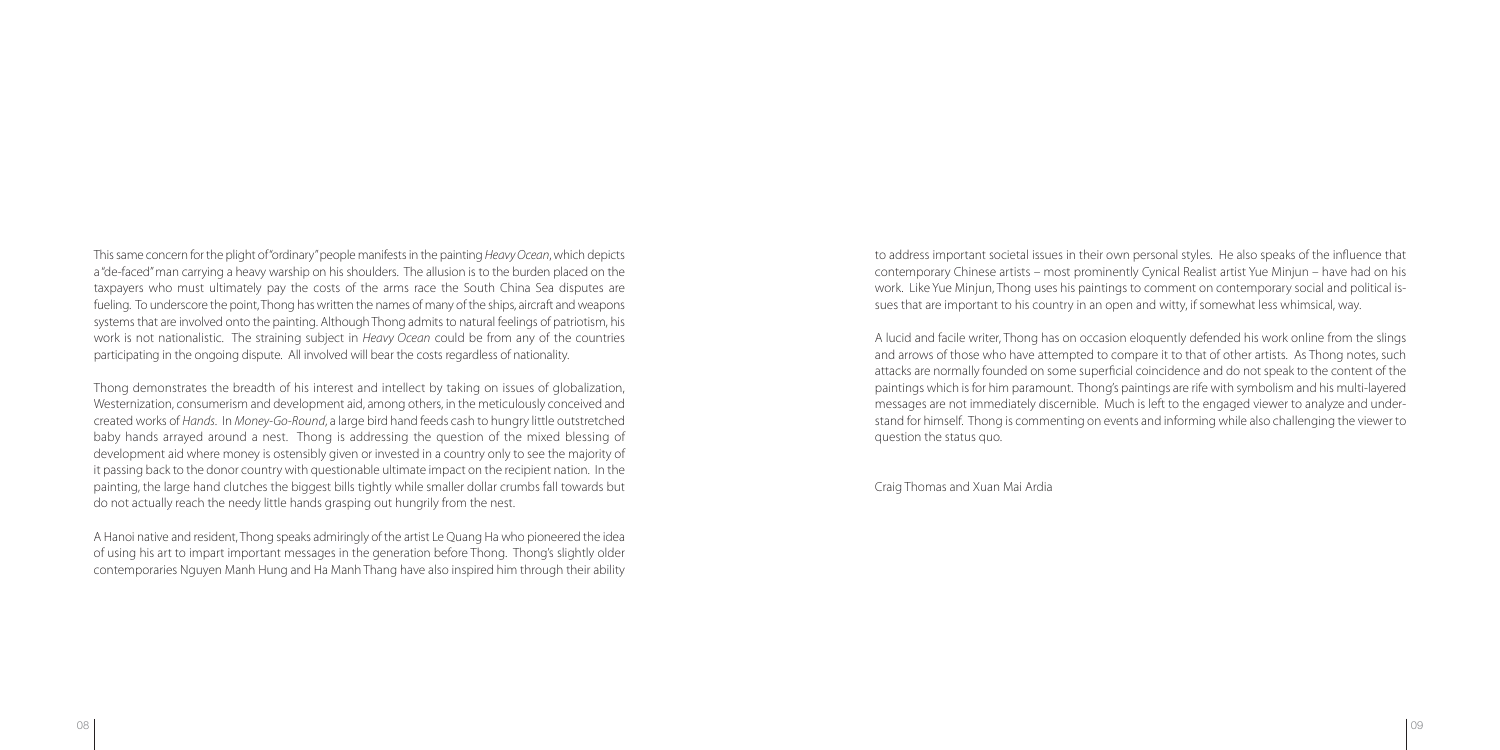to address important societal issues in their own personal styles. He also speaks of the influence that contemporary Chinese artists – most prominently Cynical Realist artist Yue Minjun – have had on his work. Like Yue Minjun, Thong uses his paintings to comment on contemporary social and political issues that are important to his country in an open and witty, if somewhat less whimsical, way.

A lucid and facile writer, Thong has on occasion eloquently defended his work online from the slings and arrows of those who have attempted to compare it to that of other artists. As Thong notes, such attacks are normally founded on some superficial coincidence and do not speak to the content of the paintings which is for him paramount. Thong's paintings are rife with symbolism and his multi-layered messages are not immediately discernible. Much is left to the engaged viewer to analyze and understand for himself. Thong is commenting on events and informing while also challenging the viewer to

This same concern for the plight of "ordinary" people manifests in the painting Heavy Ocean, which depicts a "de-faced" man carrying a heavy warship on his shoulders. The allusion is to the burden placed on the taxpayers who must ultimately pay the costs of the arms race the South China Sea disputes are fueling. To underscore the point, Thong has written the names of many of the ships, aircraft and weapons systems that are involved onto the painting. Although Thong admits to natural feelings of patriotism, his work is not nationalistic. The straining subject in Heavy Ocean could be from any of the countries participating in the ongoing dispute. All involved will bear the costs regardless of nationality.

question the status quo.

Craig Thomas and Xuan Mai Ardia

Thong demonstrates the breadth of his interest and intellect by taking on issues of globalization, Westernization, consumerism and development aid, among others, in the meticulously conceived and created works of Hands. In Money-Go-Round, a large bird hand feeds cash to hungry little outstretched baby hands arrayed around a nest. Thong is addressing the question of the mixed blessing of development aid where money is ostensibly given or invested in a country only to see the majority of it passing back to the donor country with questionable ultimate impact on the recipient nation. In the painting, the large hand clutches the biggest bills tightly while smaller dollar crumbs fall towards but do not actually reach the needy little hands grasping out hungrily from the nest.

A Hanoi native and resident, Thong speaks admiringly of the artist Le Quang Ha who pioneered the idea of using his art to impart important messages in the generation before Thong. Thong's slightly older contemporaries Nguyen Manh Hung and Ha Manh Thang have also inspired him through their ability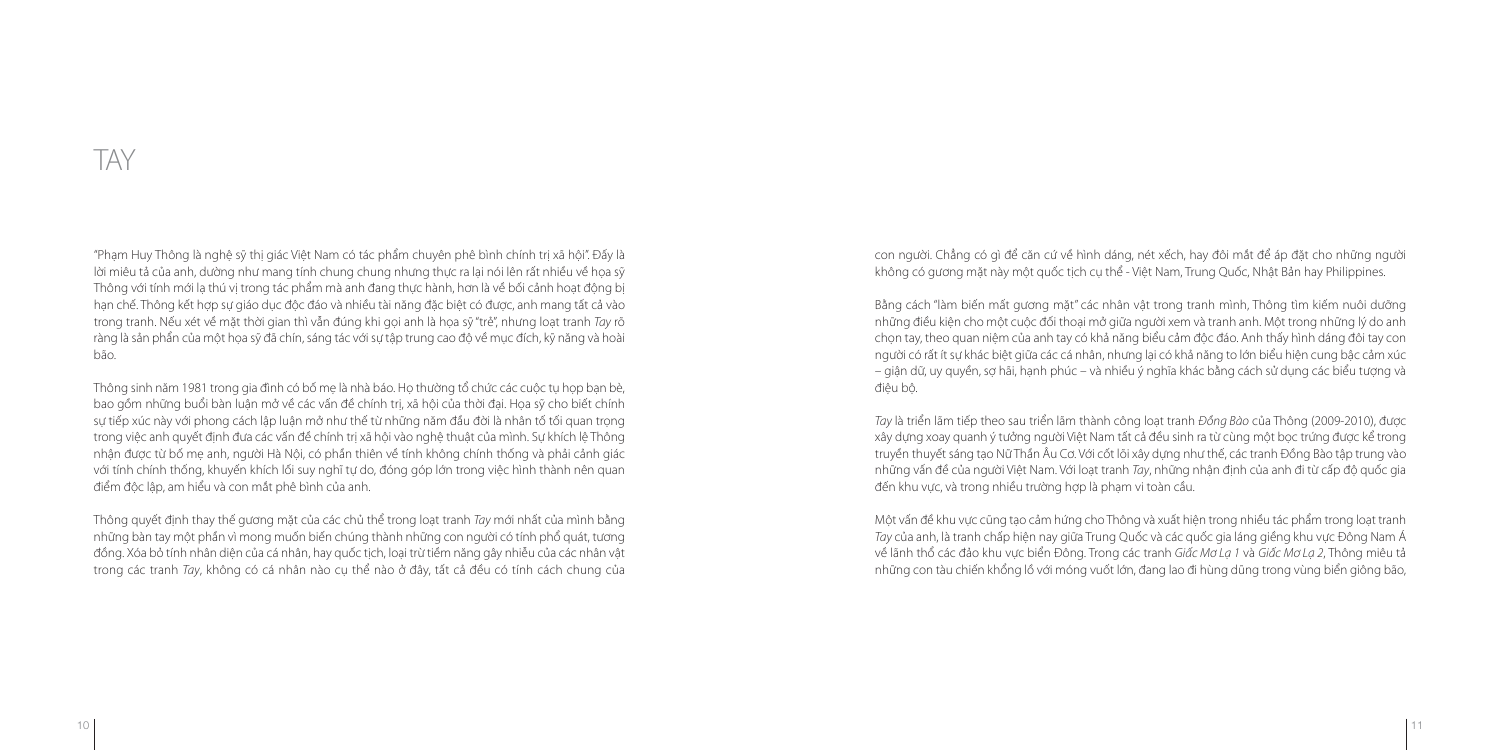con người. Chẳng có gì để căn cứ về hình dáng, nét xếch, hay đôi mắt để áp đặt cho những người không có gương mặt này một quốc tịch cụ thể - Việt Nam, Trung Quốc, Nhật Bản hay Philippines.

Bằng cách "làm biến mất gương mặt" các nhân vật trong tranh mình, Thông tìm kiếm nuôi dưỡng những điều kiện cho một cuộc đối thoại mở giữa người xem và tranh anh. Một trong những lý do anh chọn tay, theo quan niệm của anh tay có khả năng biểu cảm độc đáo. Anh thấy hình dáng đôi tay con người có rất ít sự khác biệt giữa các cá nhân, nhưng lại có khả năng to lớn biểu hiện cung bậc cảm xúc – giận dữ, uy quyền, sợ hãi, hạnh phúc – và nhiều ý nghĩa khác bằng cách sử dụng các biểu tượng và

điệu bộ.

Tay là triển lãm tiếp theo sau triển lãm thành công loạt tranh Đồng Bào của Thông (2009-2010), được xây dựng xoay quanh ý tưởng người Việt Nam tất cả đều sinh ra từ cùng một bọc trứng được kể trong truyền thuyết sáng tạo Nữ Thần Âu Cơ. Với cốt lõi xây dựng như thế, các tranh Đồng Bào tập trung vào những vấn đề của người Việt Nam. Với loạt tranh Tay, những nhận định của anh đi từ cấp độ quốc gia đến khu vực, và trong nhiều trường hợp là phạm vi toàn cầu.

Một vấn đề khu vực cũng tạo cảm hứng cho Thông và xuất hiện trong nhiều tác phẩm trong loạt tranh Tay của anh, là tranh chấp hiện nay giữa Trung Quốc và các quốc gia láng giềng khu vực Đông Nam Á về lãnh thổ các đảo khu vực biển Đông. Trong các tranh Giấc Mơ Lạ 1 và Giấc Mơ Lạ 2, Thông miêu tả những con tàu chiến khổng lồ với móng vuốt lớn, đang lao đi hùng dũng trong vùng biển giông bão,

Thông quyết định thay thế gương mặt của các chủ thể trong loạt tranh Tay mới nhất của mình bằng những bàn tay một phần vì mong muốn biến chúng thành những con người có tính phổ quát, tương đồng. Xóa bỏ tính nhân diện của cá nhân, hay quốc tịch, loại trừ tiềm năng gây nhiễu của các nhân vật trong các tranh Tay, không có cá nhân nào cụ thể nào ở đây, tất cả đều có tính cách chung của

"Phạm Huy Thông là nghệ sỹ thị giác Việt Nam có tác phẩm chuyên phê bình chính trị xã hội". Đấy là lời miêu tả của anh, dường như mang tính chung chung nhưng thực ra lại nói lên rất nhiều về họa sỹ Thông với tính mới lạ thú vị trong tác phẩm mà anh đang thực hành, hơn là về bối cảnh hoạt động bị hạn chế. Thông kết hợp sự giáo dục độc đáo và nhiều tài năng đặc biệt có được, anh mang tất cả vào trong tranh. Nếu xét về mặt thời gian thì vẫn đúng khi gọi anh là họa sỹ "trẻ", nhưng loạt tranh Tay rõ ràng là sản phẩn của một họa sỹ đã chín, sáng tác với sự tập trung cao độ về mục đích, kỹ năng và hoài bão.

Thông sinh năm 1981 trong gia đình có bố mẹ là nhà báo. Họ thường tổ chức các cuộc tụ họp bạn bè, bao gồm những buổi bàn luận mở về các vấn đề chính trị, xã hội của thời đại. Họa sỹ cho biết chính sự tiếp xúc này với phong cách lập luận mở như thế từ những năm đầu đời là nhân tố tối quan trong trong việc anh quyết định đưa các vấn đề chính trị xã hội vào nghệ thuật của mình. Sự khích lệ Thông nhận được từ bố mẹ anh, người Hà Nội, có phần thiên về tính không chính thống và phải cảnh giác với tính chính thống, khuyến khích lối suy nghĩ tự do, đóng góp lớn trong việc hình thành nên quan điểm độc lập, am hiểu và con mắt phê bình của anh.

### TAY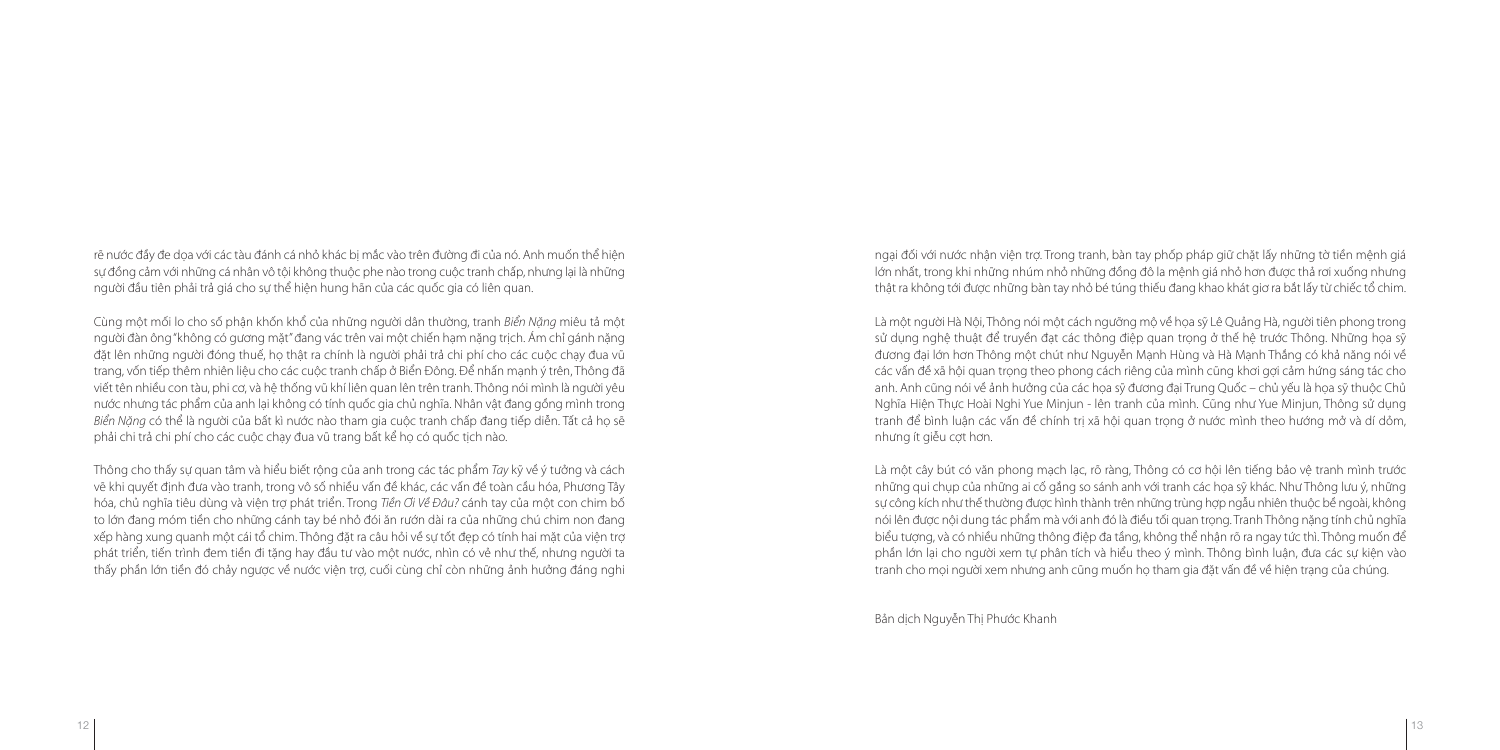ngại đối với nước nhận viện trợ. Trong tranh, bàn tay phốp pháp giữ chặt lấy những tờ tiền mệnh giá lớn nhất, trong khi những nhúm nhỏ những đồng đô la mệnh giá nhỏ hơn được thả rơi xuống nhưng thật ra không tới được những bàn tay nhỏ bé túng thiếu đang khao khát giơ ra bắt lấy từ chiếc tổ chim.

Là một người Hà Nội, Thông nói một cách ngưỡng mộ về họa sỹ Lê Quảng Hà, người tiên phong trong sử dụng nghệ thuật để truyền đạt các thông điệp quan trong ở thế hệ trước Thông. Những hoa sỹ đương đại lớn hơn Thông một chút như Nguyễn Mạnh Hùng và Hà Mạnh Thắng có khả năng nói về các vấn đề xã hội quan trọng theo phong cách riêng của mình cũng khơi gợi cảm hứng sáng tác cho anh. Anh cũng nói về ảnh hưởng của các họa sỹ đương đại Trung Quốc – chủ yếu là họa sỹ thuộc Chủ Nghĩa Hiện Thực Hoài Nghi Yue Minjun - lên tranh của mình. Cũng như Yue Minjun, Thông sử dụng tranh để bình luận các vấn đề chính trị xã hội quan trọng ở nước mình theo hướng mở và dí dỏm, nhưng ít giễu cợt hơn.

Là một cây bút có văn phong mạch lạc, rõ ràng, Thông có cơ hội lên tiếng bảo vệ tranh mình trước những qui chụp của những ai cố gắng so sánh anh với tranh các họa sỹ khác. Như Thông lưu ý, những sự công kích như thế thường được hình thành trên những trùng hợp ngẫu nhiên thuộc bề ngoài, không nói lên được nội dung tác phẩm mà với anh đó là điều tối quan trọng. Tranh Thông nặng tính chủ nghĩa biểu tượng, và có nhiều những thông điệp đa tầng, không thể nhận rõ ra ngay tức thì. Thông muốn để phần lớn lại cho người xem tự phân tích và hiểu theo ý mình. Thông bình luận, đưa các sự kiện vào tranh cho mọi người xem nhưng anh cũng muốn họ tham gia đặt vấn đề về hiện trạng của chúng.

Bản dịch Nguyễn Thị Phước Khanh

Thông cho thấy sự quan tâm và hiểu biết rộng của anh trong các tác phẩm Tay kỹ về ý tưởng và cách vẽ khi quyết định đưa vào tranh, trong vô số nhiều vấn đề khác, các vấn đề toàn cầu hóa, Phương Tây hóa, chủ nghĩa tiêu dùng và viện trợ phát triển. Trong Tiền Ơi Về Đâu? cánh tay của một con chim bố to lớn đang móm tiền cho những cánh tay bé nhỏ đói ăn rướn dài ra của những chú chim non đang xếp hàng xung quanh một cái tổ chim. Thông đặt ra câu hỏi về sự tốt đẹp có tính hai mặt của viện trợ phát triển, tiến trình đem tiền đi tặng hay đầu tư vào một nước, nhìn có vẻ như thế, nhưng người ta thấy phần lớn tiền đó chảy ngược về nước viện trợ, cuối cùng chỉ còn những ảnh hưởng đáng nghi

rẽ nước đầy đe dọa với các tàu đánh cá nhỏ khác bị mắc vào trên đường đi của nó. Anh muốn thể hiện sự đồng cảm với những cá nhân vô tội không thuộc phe nào trong cuộc tranh chấp, nhưng lại là những người đầu tiên phải trả giá cho sự thể hiện hung hãn của các quốc gia có liên quan.

Cùng một mối lo cho số phận khốn khổ của những người dân thường, tranh Biển Nặng miêu tả một người đàn ông "không có gương mặt" đang vác trên vai một chiến hạm nặng trịch. Ám chỉ gánh nặng đặt lên những người đóng thuế, họ thật ra chính là người phải trả chi phí cho các cuộc chạy đua vũ trang, vốn tiếp thêm nhiên liệu cho các cuộc tranh chấp ở Biển Đông. Để nhấn mạnh ý trên, Thông đã viết tên nhiều con tàu, phi cơ, và hệ thống vũ khí liên quan lên trên tranh. Thông nói mình là người yêu nước nhưng tác phẩm của anh lại không có tính quốc gia chủ nghĩa. Nhân vật đang gồng mình trong Biển Năng có thể là người của bất kì nước nào tham gia cuộc tranh chấp đang tiếp diễn. Tất cả họ sẽ phải chi trả chi phí cho các cuộc chạy đua vũ trang bất kể họ có quốc tịch nào.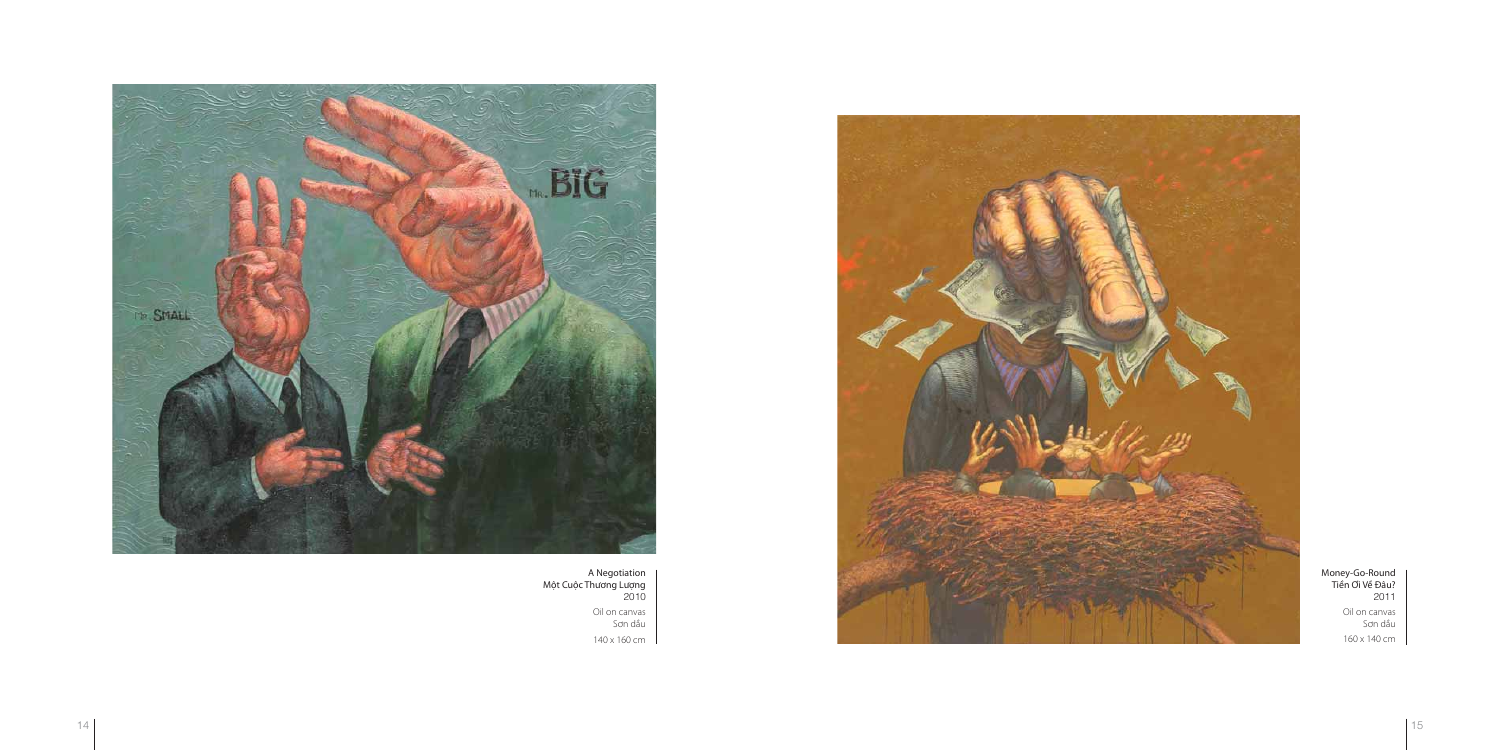Money-Go-Round Tiền Ơi Về Đâu? 2011 Oil on canvas Sơn dầu 160 x 140 cm



A Negotiation Một Cuộc Thương Lượng 2010 Oil on canvas Sơn dầu 140 x 160 cm

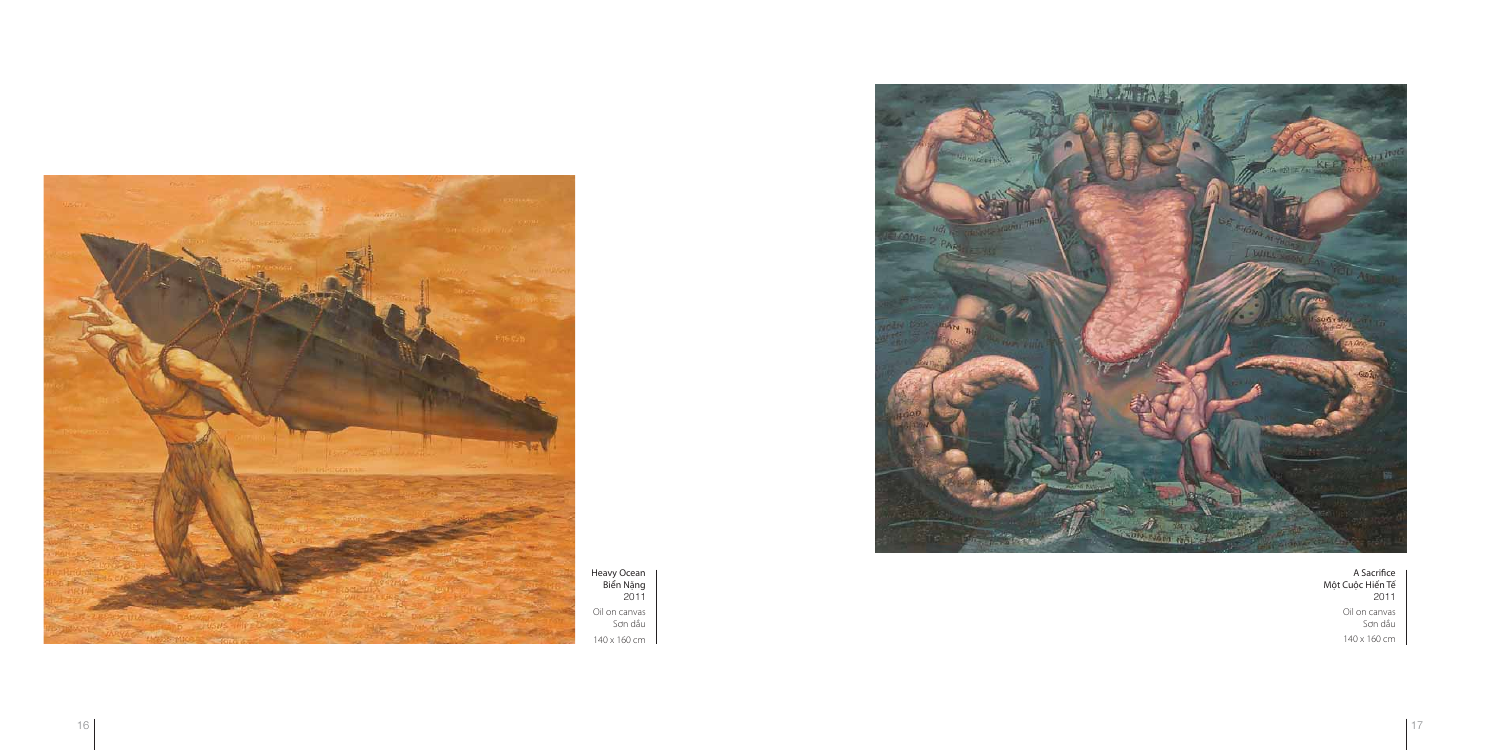A Sacrifice Một Cuộc Hiến Tế 2011 Oil on canvas Sơn dầu 140 x 160 cm



Heavy Ocean Biển Nặng 2011 Oil on canvas Sơn dầu 140 x 160 cm



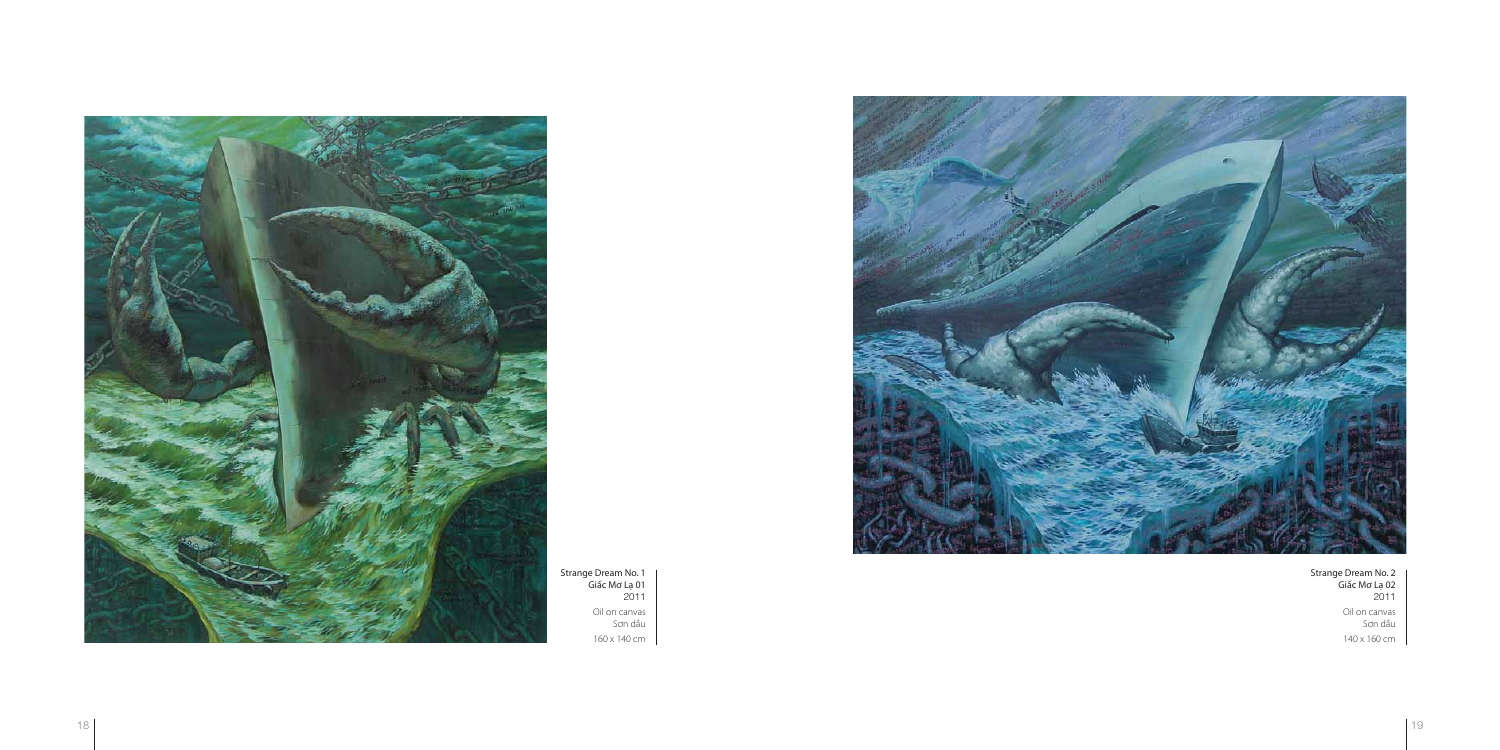Strange Dream No. 2 Giấc Mơ Lạ 02 2011 Oil on canvas Sơn dầu 140 x 160 cm



Strange Dream No. 1 Giấc Mơ Lạ 01 2011 Oil on canvas Sơn dầu 160 x 140 cm



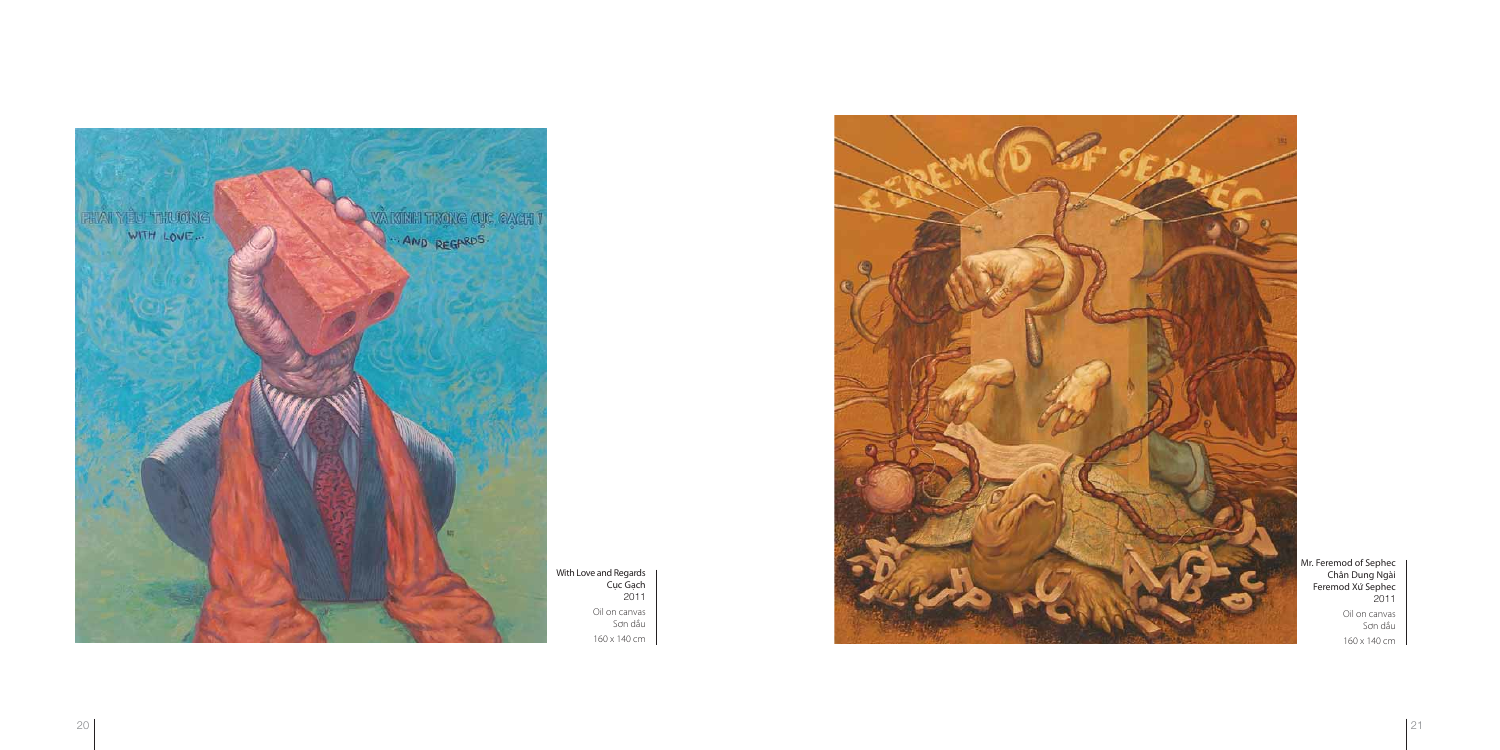

With Love and Regards Cục Gạch 2011 Oil on canvas Sơn dầu 160 x 140 cm



Mr. Feremod of Sephec Chân Dung Ngài Feremod Xứ Sephec 2011 Oil on canvas Sơn dầu 160 x 140 cm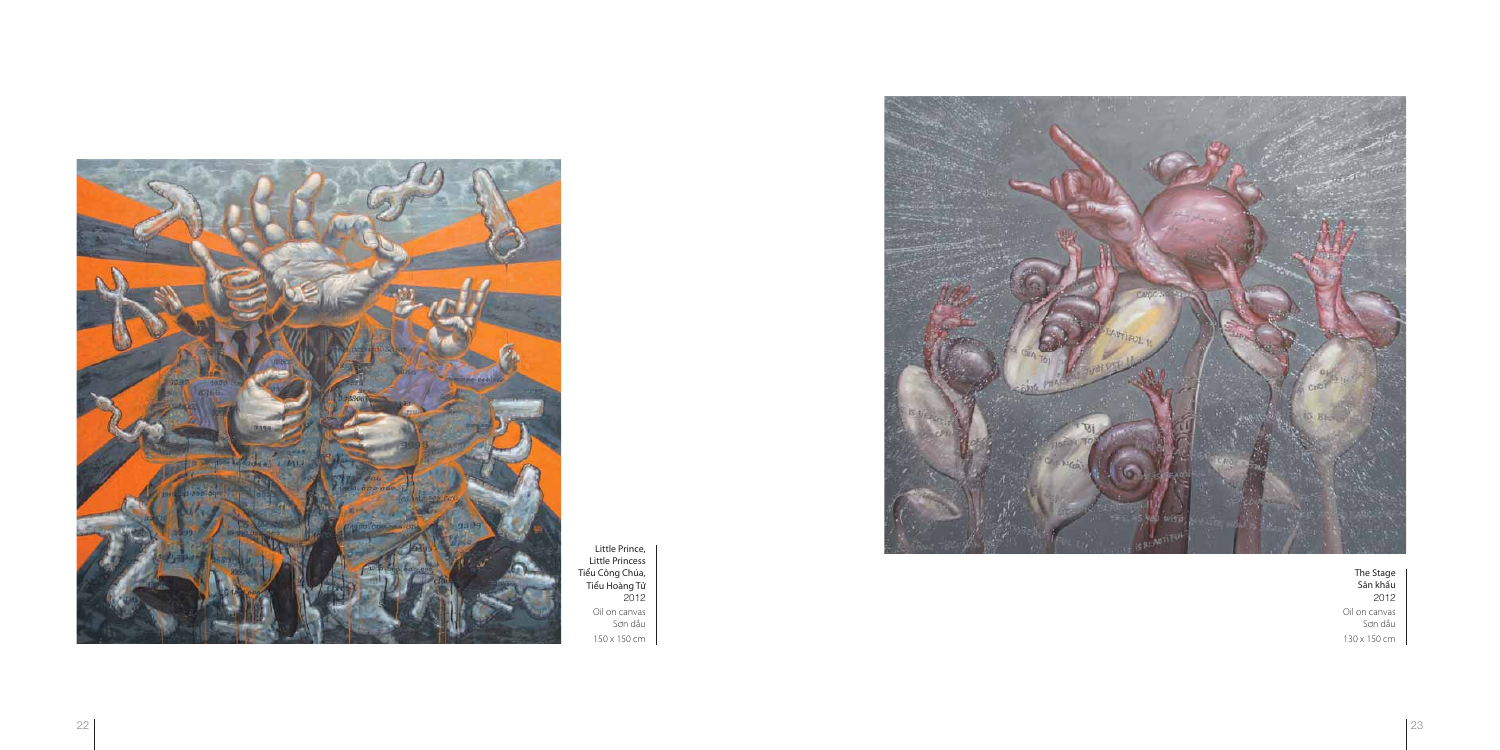

Little Prince, Little Princess Tiểu Công Chúa, Tiểu Hoàng Tử 2012 Oil on canvas Sơn dầu 150 x 150 cm





The Stage Sân khấu 2012 Oil on canvas Sơn dầu 130 x 150 cm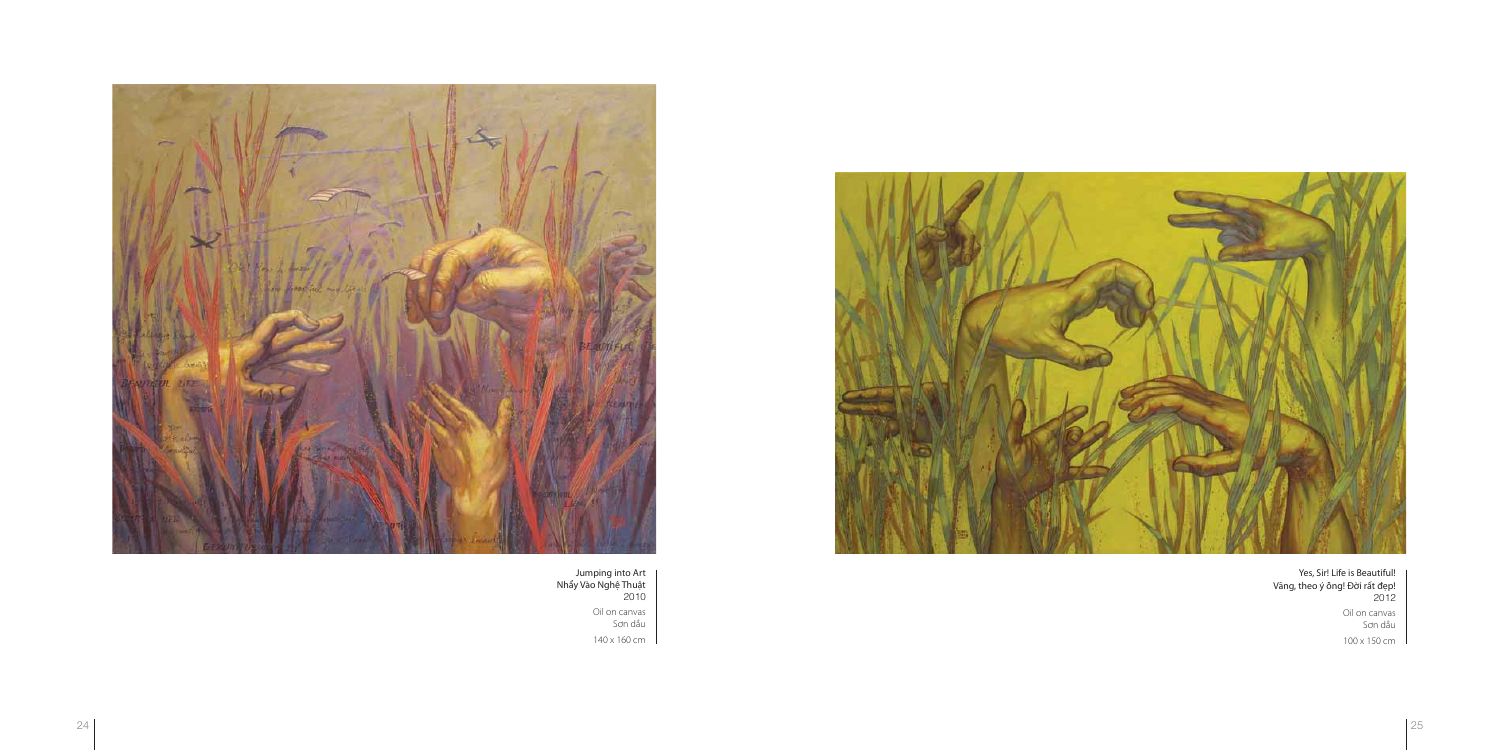

Jumping into Art Nhẩy Vào Nghệ Thuật 2010 Oil on canvas Sơn dầu 140 x 160 cm



Yes, Sir! Life is Beautiful! Vâng, theo ý ông! Đời rất đẹp! 2012 Oil on canvas Sơn dầu 100 x 150 cm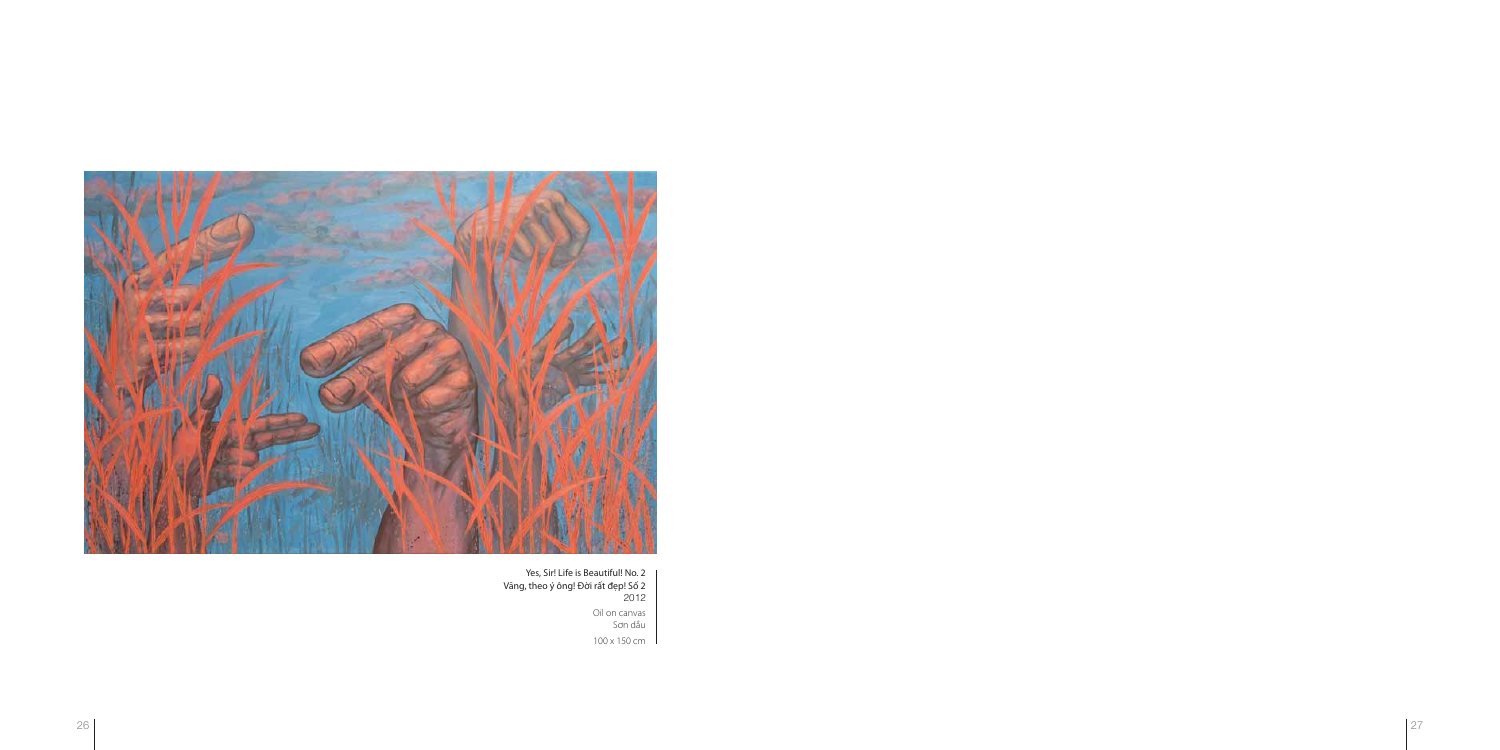

Yes, Sir! Life is Beautiful! No. 2 Vâng, theo ý ông! Đời rất đẹp! Số 2 2012 Oil on canvas Sơn dầu 100 x 150 cm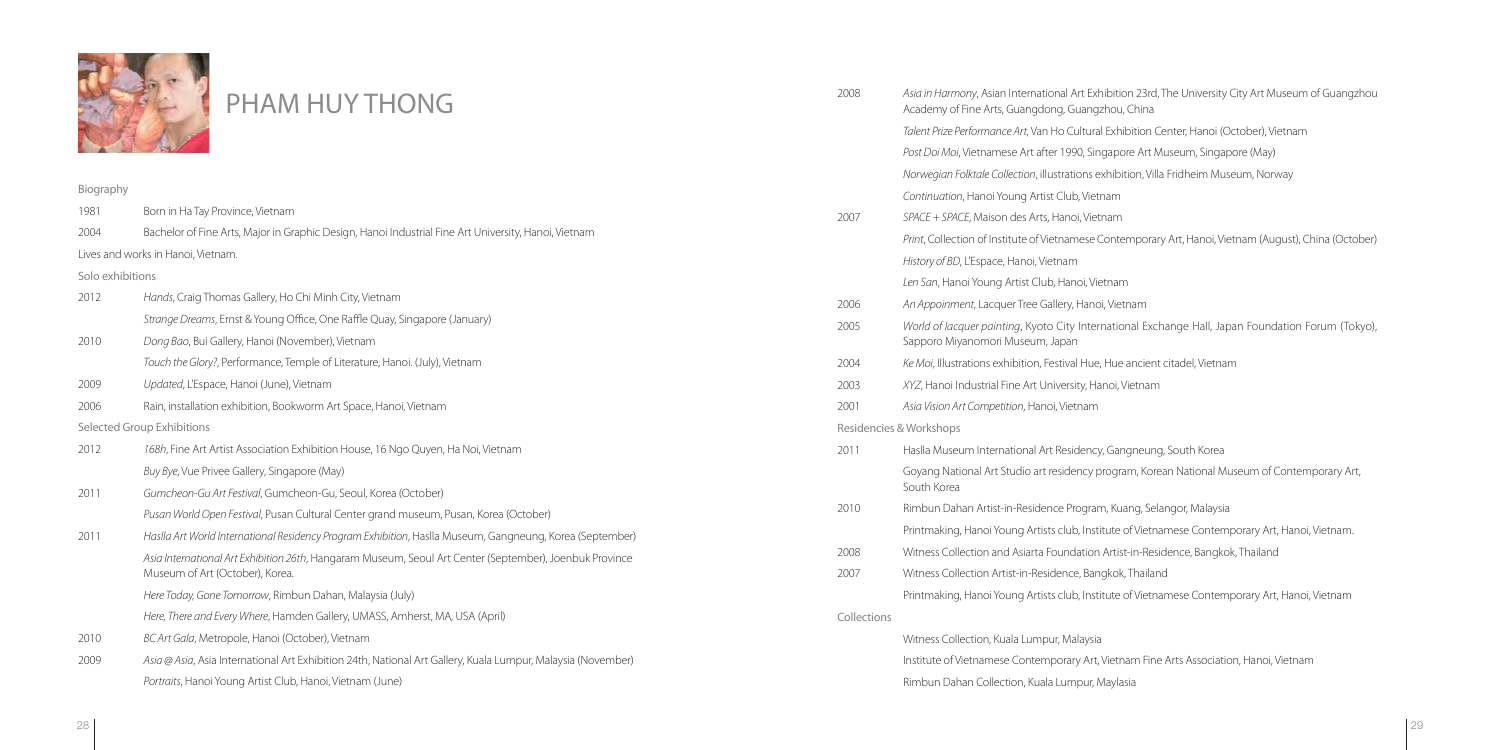

Biography 1981 Born in Ha Tay Province, Vietnam 2004 Bachelor of Fine Arts, Major in Graphic Design, Hanoi Industrial Fine Art University, Hanoi, Vietnam Lives and works in Hanoi, Vietnam. Solo exhibitions 2012 Hands, Craig Thomas Gallery, Ho Chi Minh City, Vietnam Strange Dreams, Ernst & Young Office, One Raffle Quay, Singapore (January) 2010 Dong Bao, Bui Gallery, Hanoi (November), Vietnam Touch the Glory?, Performance, Temple of Literature, Hanoi. (July), Vietnam 2009 Updated, L'Espace, Hanoi (June), Vietnam 2006 Rain, installation exhibition, Bookworm Art Space, Hanoi, Vietnam Selected Group Exhibitions 2012 168h, Fine Art Artist Association Exhibition House, 16 Ngo Quyen, Ha Noi, Vietnam Buy Bye, Vue Privee Gallery, Singapore (May) 2011 Gumcheon-Gu Art Festival, Gumcheon-Gu, Seoul, Korea (October) Pusan World Open Festival, Pusan Cultural Center grand museum, Pusan, Korea (October) 2011 Haslla Art World International Residency Program Exhibition, Haslla Museum, Gangneung, Korea (September) Asia International Art Exhibition 26th, Hangaram Museum, Seoul Art Center (September), Joenbuk Province Museum of Art (October), Korea. Here Today, Gone Tomorrow, Rimbun Dahan, Malaysia (July) Here, There and Every Where, Hamden Gallery, UMASS, Amherst, MA, USA (April) 2010 BC Art Gala, Metropole, Hanoi (October), Vietnam 2009 Asia @ Asia, Asia International Art Exhibition 24th, National Art Gallery, Kuala Lumpur, Malaysia (November) Portraits, Hanoi Young Artist Club, Hanoi, Vietnam (June) 2008 Asia in Harmony, Asian International Art Exhibition 23rd, The University City Art Museum of Guangzhou Academy of Fine Arts, Guangdong, Guangzhou, China Talent Prize Performance Art, Van Ho Cultural Exhibition Center, Hanoi (October), Vietnam Post Doi Moi, Vietnamese Art after 1990, Singapore Art Museum, Singapore (May) Norwegian Folktale Collection, illustrations exhibition, Villa Fridheim Museum, Norway Continuation, Hanoi Young Artist Club, Vietnam 2007 SPACE + SPACE, Maison des Arts, Hanoi, Vietnam Print, Collection of Institute of Vietnamese Contemporary Art, Hanoi, Vietnam (August), China (October) History of BD, L'Espace, Hanoi, Vietnam Len San, Hanoi Young Artist Club, Hanoi, Vietnam 2006 An Appoinment, Lacquer Tree Gallery, Hanoi, Vietnam 2005 World of lacquer painting, Kyoto City International Exchange Hall, Japan Foundation Forum (Tokyo), Sapporo Miyanomori Museum, Japan 2004 Ke Moi, Illustrations exhibition, Festival Hue, Hue ancient citadel, Vietnam 2003 XYZ, Hanoi Industrial Fine Art University, Hanoi, Vietnam 2001 Asia Vision Art Competition, Hanoi, Vietnam Residencies & Workshops 2011 Haslla Museum International Art Residency, Gangneung, South Korea Goyang National Art Studio art residency program, Korean National Museum of Contemporary Art, South Korea 2010 Rimbun Dahan Artist-in-Residence Program, Kuang, Selangor, Malaysia Printmaking, Hanoi Young Artists club, Institute of Vietnamese Contemporary Art, Hanoi, Vietnam. 2008 Witness Collection and Asiarta Foundation Artist-in-Residence, Bangkok, Thailand 2007 Witness Collection Artist-in-Residence, Bangkok, Thailand Printmaking, Hanoi Young Artists club, Institute of Vietnamese Contemporary Art, Hanoi, Vietnam Collections Witness Collection, Kuala Lumpur, Malaysia Institute of Vietnamese Contemporary Art, Vietnam Fine Arts Association, Hanoi, Vietnam Rimbun Dahan Collection, Kuala Lumpur, Maylasia PHAM HUY THONG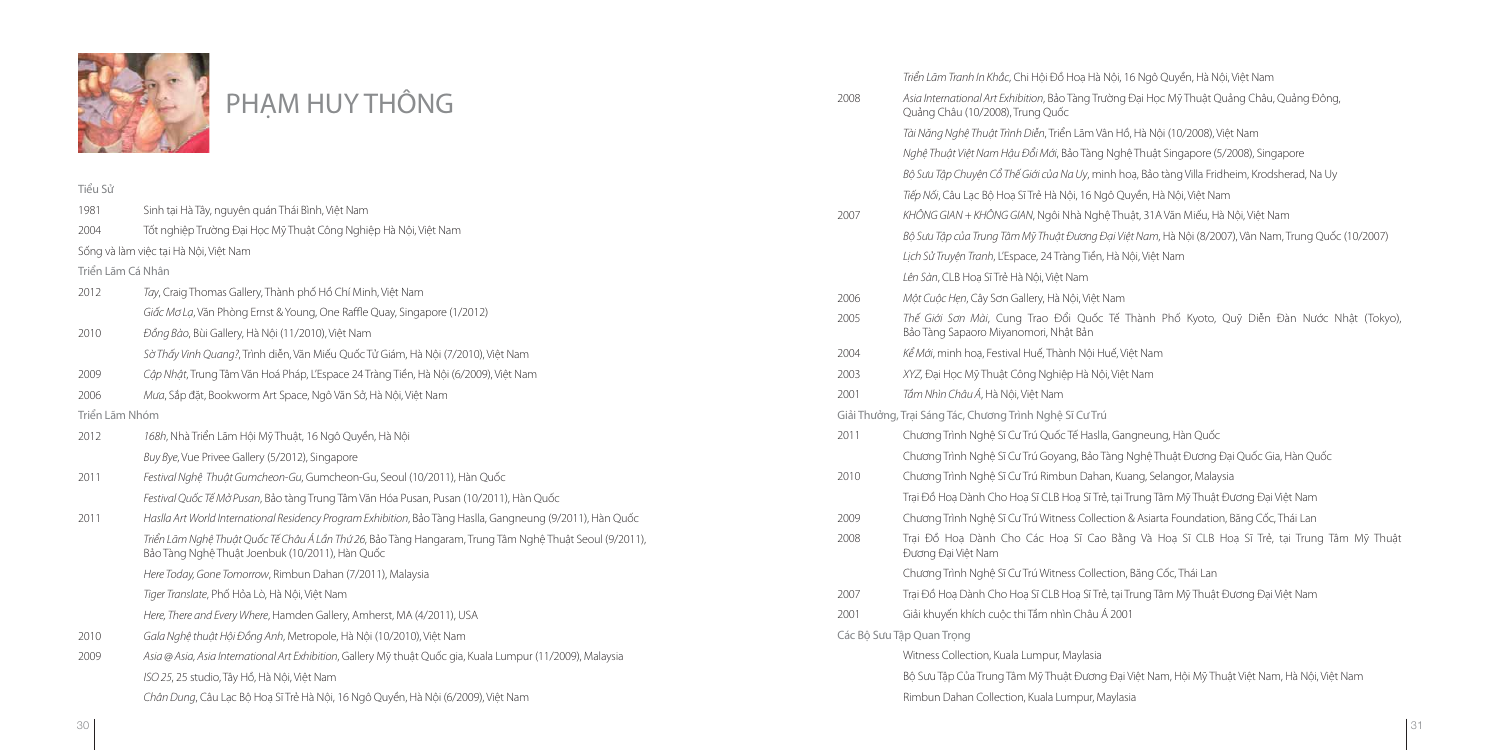

## PHAM HUY THÔNG

- Triển Lãm Tranh In Khắc, Chi Hội Đồ Hoạ Hà Nội, 16 Ngô Quyền, Hà Nội, Việt Nam
- 2008 Asia International Art Exhibition, Bảo Tàng Trường Đại Học Mỹ Thuật Quảng Châu, Quảng Đông,
	- Tài Năng Nghệ Thuật Trình Diễn, Triển Lãm Vân Hồ, Hà Nội (10/2008), Việt Nam
	- Nghệ Thuật Việt Nam Hậu Đổi Mới, Bảo Tàng Nghệ Thuật Singapore (5/2008), Singapore
		- ổ Thế Giới của Na Uy, minh hoạ, Bảo tàng Villa Fridheim, Krodsherad, Na Uy
		- Hoạ Sĩ Trẻ Hà Nội, 16 Ngô Quyền, Hà Nội, Việt Nam
		- VG GIAN, Ngôi Nhà Nghệ Thuật, 31A Văn Miếu, Hà Nội, Việt Nam
		- 7 Tâm Mỹ Thuật Đương Đại Việt Nam, Hà Nội (8/2007), Vân Nam, Trung Quốc (10/2007)
		- L'Espace, 24 Tràng Tiền, Hà Nội, Việt Nam
		- Trẻ Hà Nôi, Việt Nam
		- ơn Gallery, Hà Nội, Việt Nam
		- Cung Trao Đổi Quốc Tế Thành Phố Kyoto, Quỹ Diễn Đàn Nước Nhật (Tokyo), iyanomori, Nhật Bản
		- stival Huế, Thành Nội Huế, Việt Nam
		- iật Công Nghiệp Hà Nội, Việt Nam
		- a Nội, Việt Nam
		- ng Trình Nghệ Sĩ Cư Trú
		- Sĩ Cư Trú Quốc Tế Haslla, Gangneung, Hàn Quốc
		- Sĩ Cư Trú Goyang, Bảo Tàng Nghệ Thuật Đương Đại Quốc Gia, Hàn Quốc
		- Sĩ Cư Trú Rimbun Dahan, Kuang, Selangor, Malaysia
		- ho Hoạ Sĩ CLB Hoạ Sĩ Trẻ, tại Trung Tâm Mỹ Thuật Đương Đại Việt Nam
		- Sĩ Cư Trú Witness Collection & Asiarta Foundation, Băng Cốc, Thái Lan
		- Cho Các Hoạ Sĩ Cao Bằng Và Hoạ Sĩ CLB Hoạ Sĩ Trẻ, tại Trung Tâm Mỹ Thuật
		- Sĩ Cư Trú Witness Collection, Băng Cốc, Thái Lan
		- no Hoạ Sĩ CLB Hoạ Sĩ Trẻ, tại Trung Tâm Mỹ Thuật Đương Đại Việt Nam
		- xôc thi Tầm nhìn Châu Á 2001
		- Kuala Lumpur, Maylasia
		- ig Tâm Mỹ Thuật Đương Đại Việt Nam, Hội Mỹ Thuật Việt Nam, Hà Nội, Việt Nam
		- ection, Kuala Lumpur, Maylasia

|                   |                                                                                                                                                            |                                   | Bộ Sưu Tập Chuyện Cổ                   |
|-------------------|------------------------------------------------------------------------------------------------------------------------------------------------------------|-----------------------------------|----------------------------------------|
| Tiểu Sử           |                                                                                                                                                            |                                   | Tiếp Nối, Câu Lạc Bộ H                 |
| 1981              | Sinh tại Hà Tây, nguyên quán Thái Bình, Việt Nam                                                                                                           | 2007                              | KHÔNG GIAN + KHÔN                      |
| 2004              | Tốt nghiệp Trường Đại Học Mỹ Thuật Công Nghiệp Hà Nội, Việt Nam                                                                                            |                                   | Bộ Sưu Tập của Trung                   |
|                   | Sống và làm việc tại Hà Nội, Việt Nam                                                                                                                      |                                   | Lịch Sử Truyện Tranh, L                |
| Triển Lãm Cá Nhân |                                                                                                                                                            |                                   | Lên Sàn, CLB Hoạ Sĩ Tr                 |
| 2012              | Tay, Craig Thomas Gallery, Thành phố Hồ Chí Minh, Việt Nam                                                                                                 | 2006                              | Một Cuộc Hẹn, Cây Sc                   |
|                   | Giấc Mơ Lạ, Văn Phòng Ernst & Young, One Raffle Quay, Singapore (1/2012)                                                                                   | 2005                              | Thế Giới Sơn Mài, C                    |
| 2010              | Đồng Bào, Bùi Gallery, Hà Nội (11/2010), Việt Nam                                                                                                          |                                   | Bảo Tàng Sapaoro Mi                    |
|                   | Sờ Thấy Vinh Quang?, Trình diễn, Văn Miếu Quốc Tử Giám, Hà Nội (7/2010), Việt Nam                                                                          | 2004                              | Kể Mới, minh hoạ, Fes                  |
| 2009              | Cập Nhật, Trung Tâm Văn Hoá Pháp, L'Espace 24 Tràng Tiền, Hà Nội (6/2009), Việt Nam                                                                        | 2003                              | XYZ, Đại Học Mỹ Thu                    |
| 2006              | Mưa, Sắp đặt, Bookworm Art Space, Ngô Văn Sở, Hà Nội, Việt Nam                                                                                             | 2001                              | Tầm Nhìn Châu Á, Hà                    |
| Triển Lãm Nhóm    |                                                                                                                                                            | Giải Thưởng, Trại Sáng Tác, Chươn |                                        |
| 2012              | 168h, Nhà Triển Lãm Hội Mỹ Thuật, 16 Ngô Quyền, Hà Nội                                                                                                     | 2011                              | Chương Trình Nghệ S                    |
|                   | Buy Bye, Vue Privee Gallery (5/2012), Singapore                                                                                                            |                                   | Chương Trình Nghệ S                    |
| 2011              | Festival Nghệ Thuật Gumcheon-Gu, Gumcheon-Gu, Seoul (10/2011), Hàn Quốc                                                                                    | 2010                              | Chương Trình Nghệ S                    |
|                   | Festival Quốc Tế Mở Pusan, Bảo tàng Trung Tâm Văn Hóa Pusan, Pusan (10/2011), Hàn Quốc                                                                     |                                   | Trại Đồ Hoạ Dành Ch                    |
| 2011              | Haslla Art World International Residency Program Exhibition, Bảo Tàng Haslla, Gangneung (9/2011), Hàn Quốc                                                 | 2009                              | Chương Trình Nghệ S                    |
|                   | Triển Lãm Nghệ Thuật Quốc Tế Châu Á Lần Thứ 26, Bảo Tàng Hangaram, Trung Tâm Nghệ Thuật Seoul (9/2011),<br>Bảo Tàng Nghệ Thuật Joenbuk (10/2011), Hàn Quốc | 2008                              | Trai Đồ Hoa Dành<br>Đương Đại Việt Nam |
|                   | Here Today, Gone Tomorrow, Rimbun Dahan (7/2011), Malaysia                                                                                                 |                                   | Chương Trình Nghệ S                    |
|                   | Tiger Translate, Phố Hỏa Lò, Hà Nội, Việt Nam                                                                                                              | 2007                              | Trại Đồ Hoạ Dành Ch                    |
|                   | Here, There and Every Where, Hamden Gallery, Amherst, MA (4/2011), USA                                                                                     | 2001                              | Giải khuyến khích cu                   |
| 2010              | Gala Nghệ thuật Hội Đồng Anh, Metropole, Hà Nội (10/2010), Việt Nam                                                                                        | Các Bộ Sưu Tập Quan Trọng         |                                        |
| 2009              | Asia @ Asia, Asia International Art Exhibition, Gallery Mỹ thuật Quốc gia, Kuala Lumpur (11/2009), Malaysia                                                |                                   | Witness Collection, K                  |
|                   | ISO 25, 25 studio, Tây Hồ, Hà Nội, Việt Nam                                                                                                                |                                   | Bộ Sưu Tập Của Trung                   |
|                   | Chân Dung, Câu Lạc Bộ Hoạ Sĩ Trẻ Hà Nội, 16 Ngô Quyền, Hà Nội (6/2009), Việt Nam                                                                           |                                   | Rimbun Dahan Colle                     |
|                   |                                                                                                                                                            |                                   |                                        |

Quảng Châu (10/2008), Trung Quốc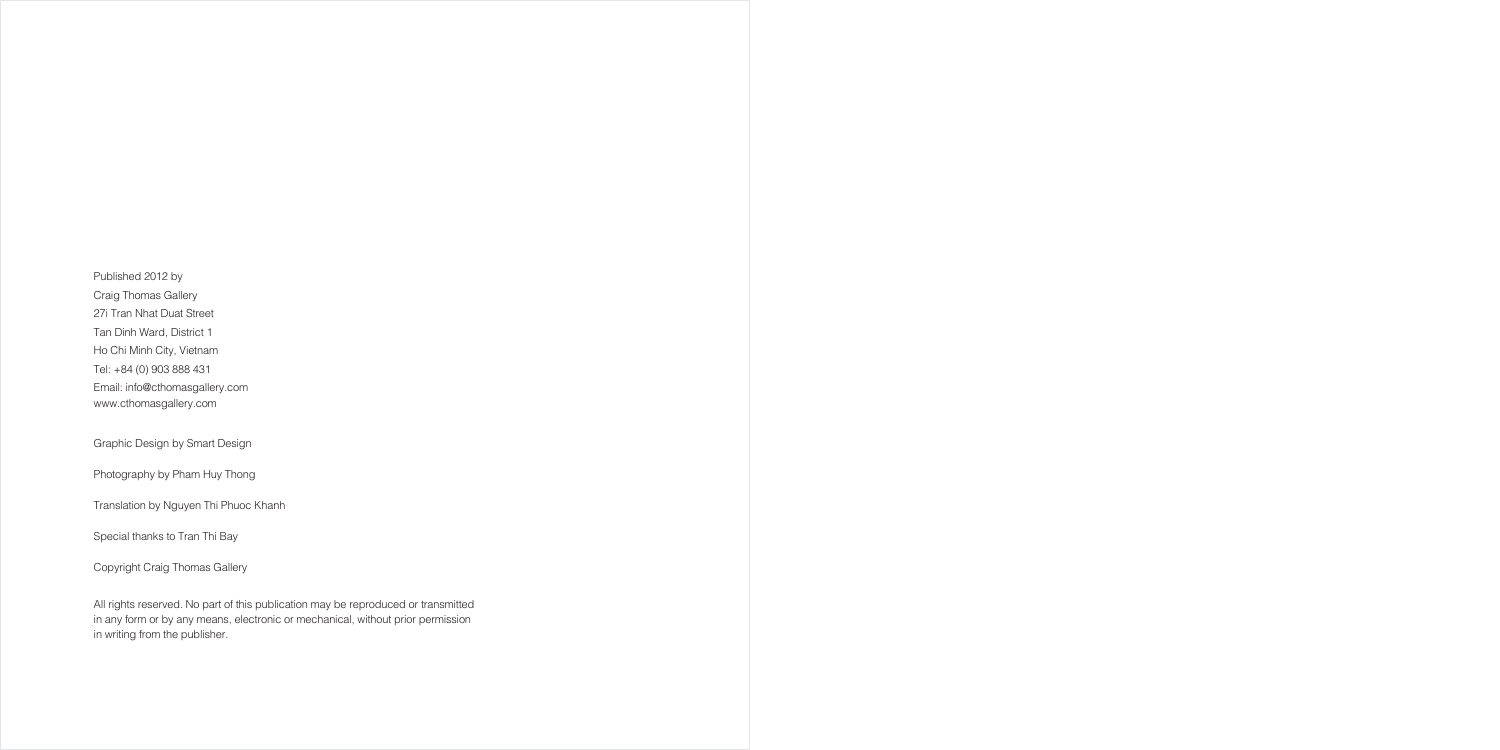Published 2012 by Craig Thomas Gallery 27i Tran Nhat Duat Street Tan Dinh Ward, District 1 Ho Chi Minh City, Vietnam Tel: +84 (0) 903 888 431 Email: info@cthomasgallery.com www.cthomasgallery.com

Graphic Design by Smart Design

Photography by Pham Huy Thong

Translation by Nguyen Thi Phuoc Khanh

Special thanks to Tran Thi Bay

Copyright Craig Thomas Gallery

All rights reserved. No part of this publication may be reproduced or transmitted in any form or by any means, electronic or mechanical, without prior permission in writing from the publisher.